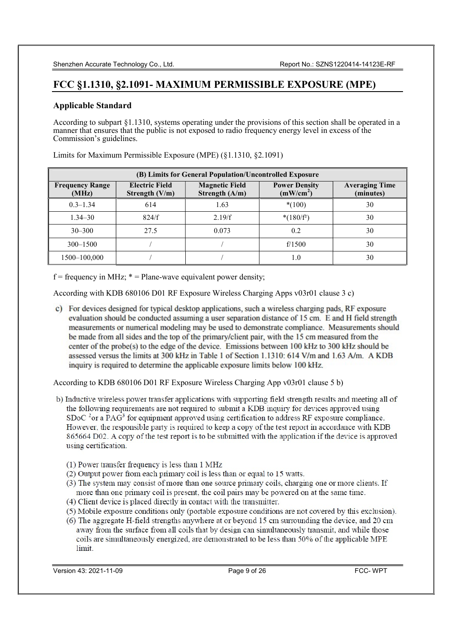# FCC §1.1310, §2.1091- MAXIMUM PERMISSIBLE EXPOSURE (MPE)

## Applicable Standard

According to subpart §1.1310, systems operating under the provisions of this section shall be operated in a manner that ensures that the public is not exposed to radio frequency energy level in excess of the Commission's guidelines.

| (B) Limits for General Population/Uncontrolled Exposure |                                         |                                           |                                               |                                    |  |
|---------------------------------------------------------|-----------------------------------------|-------------------------------------------|-----------------------------------------------|------------------------------------|--|
| <b>Frequency Range</b><br>(MHz)                         | <b>Electric Field</b><br>Strength (V/m) | <b>Magnetic Field</b><br>Strength $(A/m)$ | <b>Power Density</b><br>(mW/cm <sup>2</sup> ) | <b>Averaging Time</b><br>(minutes) |  |
| $0.3 - 1.34$                                            | 614                                     | 1.63                                      | $*(100)$                                      | 30                                 |  |
| $1.34 - 30$                                             | 824/f                                   | 2.19/f                                    | $*(180/f^2)$                                  | 30                                 |  |
| $30 - 300$                                              | 27.5                                    | 0.073                                     | 0.2                                           | 30                                 |  |
| $300 - 1500$                                            |                                         |                                           | f/1500                                        | 30                                 |  |
| 1500–100,000                                            |                                         |                                           | 1.0                                           | 30                                 |  |

Limits for Maximum Permissible Exposure (MPE) (§1.1310, §2.1091)

 $f = \text{frequency in MHz};$  \* = Plane-wave equivalent power density;

According with KDB 680106 D01 RF Exposure Wireless Charging Apps v03r01 clause 3 c)

c) For devices designed for typical desktop applications, such a wireless charging pads, RF exposure evaluation should be conducted assuming a user separation distance of 15 cm. E and H field strength measurements or numerical modeling may be used to demonstrate compliance. Measurements should be made from all sides and the top of the primary/client pair, with the 15 cm measured from the center of the probe(s) to the edge of the device. Emissions between 100 kHz to 300 kHz should be assessed versus the limits at 300 kHz in Table 1 of Section 1.1310: 614 V/m and 1.63 A/m. A KDB inquiry is required to determine the applicable exposure limits below 100 kHz.

According to KDB 680106 D01 RF Exposure Wireless Charging App v03r01 clause 5 b)

- b) Inductive wireless power transfer applications with supporting field strength results and meeting all of the following requirements are not required to submit a KDB inquiry for devices approved using SDoC  $2$ <sup>3</sup> or a PAG<sup>3</sup> for equipment approved using certification to address RF exposure compliance. However, the responsible party is required to keep a copy of the test report in accordance with KDB 865664 D02. A copy of the test report is to be submitted with the application if the device is approved using certification.
	- (1) Power transfer frequency is less than 1 MHz
	- (2) Output power from each primary coil is less than or equal to 15 watts.
	- (3) The system may consist of more than one source primary coils, charging one or more clients. If more than one primary coil is present, the coil pairs may be powered on at the same time.
	- (4) Client device is placed directly in contact with the transmitter.
	- (5) Mobile exposure conditions only (portable exposure conditions are not covered by this exclusion).
	- (6) The aggregate H-field strengths anywhere at or beyond 15 cm surrounding the device, and 20 cm away from the surface from all coils that by design can simultaneously transmit, and while those coils are simultaneously energized, are demonstrated to be less than 50% of the applicable MPE limit.

Version 43: 2021-11-09 **Page 9 of 26** FCC- WPT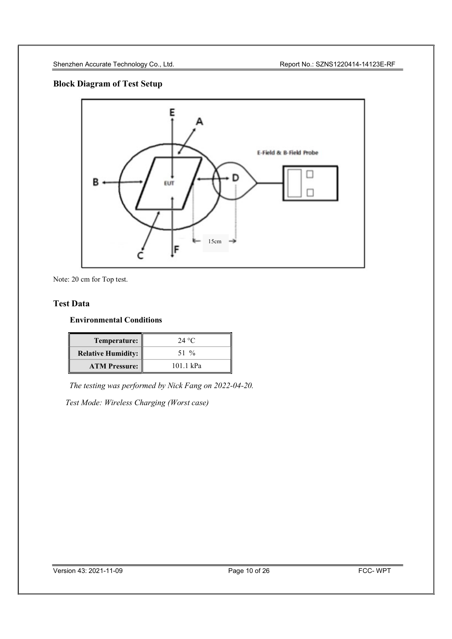## Block Diagram of Test Setup



Note: 20 cm for Top test.

## Test Data

## Environmental Conditions

| Temperature:              | 24 °C     |
|---------------------------|-----------|
| <b>Relative Humidity:</b> | 51 %      |
| <b>ATM Pressure:</b>      | 101.1 kPa |

The testing was performed by Nick Fang on 2022-04-20.

Test Mode: Wireless Charging (Worst case)